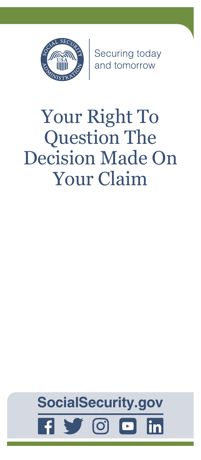

Securing today<br>and tomorrow

# Your Right To Question The Decision Made On Your Claim

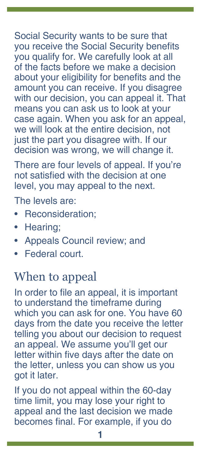Social Security wants to be sure that you receive the Social Security benefits you qualify for. We carefully look at all of the facts before we make a decision about your eligibility for benefits and the amount you can receive. If you disagree with our decision, you can appeal it. That means you can ask us to look at your case again. When you ask for an appeal, we will look at the entire decision, not just the part you disagree with. If our decision was wrong, we will change it.

There are four levels of appeal. If you're not satisfied with the decision at one level, you may appeal to the next.

The levels are:

- Reconsideration:
- Hearing;
- Appeals Council review; and
- Federal court.

## When to appeal

In order to file an appeal, it is important to understand the timeframe during which you can ask for one. You have 60 days from the date you receive the letter telling you about our decision to request an appeal. We assume you'll get our letter within five days after the date on the letter, unless you can show us you got it later.

If you do not appeal within the 60-day time limit, you may lose your right to appeal and the last decision we made becomes final. For example, if you do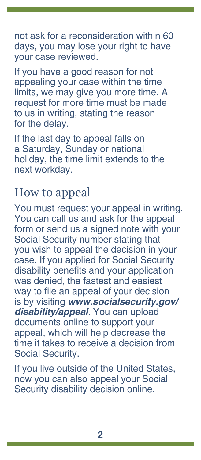not ask for a reconsideration within 60 days, you may lose your right to have your case reviewed.

If you have a good reason for not appealing your case within the time limits, we may give you more time. A request for more time must be made to us in writing, stating the reason for the delay.

If the last day to appeal falls on a Saturday, Sunday or national holiday, the time limit extends to the next workday.

## How to appeal

You must request your appeal in writing. You can call us and ask for the appeal form or send us a signed note with your Social Security number stating that you wish to appeal the decision in your case. If you applied for Social Security disability benefits and your application was denied, the fastest and easiest way to file an appeal of your decision is by visiting *[www.socialsecurity.gov/](https://www.socialsecurity.gov/disability/appeal) [disability/appeal](https://www.socialsecurity.gov/disability/appeal)*. You can upload documents online to support your appeal, which will help decrease the time it takes to receive a decision from Social Security.

If you live outside of the United States, now you can also appeal your Social Security disability decision online.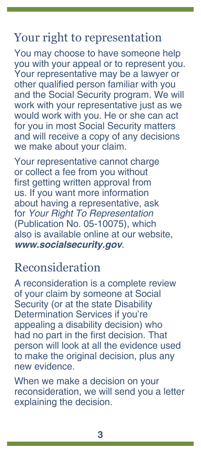### Your right to representation

You may choose to have someone help you with your appeal or to represent you. Your representative may be a lawyer or other qualified person familiar with you and the Social Security program. We will work with your representative just as we would work with you. He or she can act for you in most Social Security matters and will receive a copy of any decisions we make about your claim.

Your representative cannot charge or collect a fee from you without first getting written approval from us. If you want more information about having a representative, ask for *[Your Right To Representation](https://www.ssa.gov/pubs/EN-05-10075.pdf)* [\(Publication No. 05-10075\)](https://www.ssa.gov/pubs/EN-05-10075.pdf), which also is available online at our website, *[www.socialsecurity.gov](https://www.socialsecurity.gov)*.

#### Reconsideration

A reconsideration is a complete review of your claim by someone at Social Security (or at the state Disability Determination Services if you're appealing a disability decision) who had no part in the first decision. That person will look at all the evidence used to make the original decision, plus any new evidence.

When we make a decision on your reconsideration, we will send you a letter explaining the decision.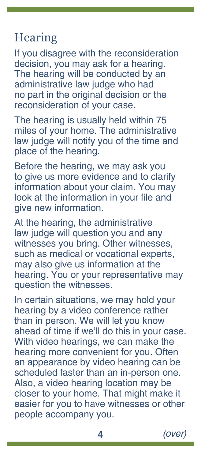## **Hearing**

If you disagree with the reconsideration decision, you may ask for a hearing. The hearing will be conducted by an administrative law judge who had no part in the original decision or the reconsideration of your case.

The hearing is usually held within 75 miles of your home. The administrative law judge will notify you of the time and place of the hearing.

Before the hearing, we may ask you to give us more evidence and to clarify information about your claim. You may look at the information in your file and give new information.

At the hearing, the administrative law judge will question you and any witnesses you bring. Other witnesses, such as medical or vocational experts, may also give us information at the hearing. You or your representative may question the witnesses.

In certain situations, we may hold your hearing by a video conference rather than in person. We will let you know ahead of time if we'll do this in your case. With video hearings, we can make the hearing more convenient for you. Often an appearance by video hearing can be scheduled faster than an in-person one. Also, a video hearing location may be closer to your home. That might make it easier for you to have witnesses or other people accompany you.

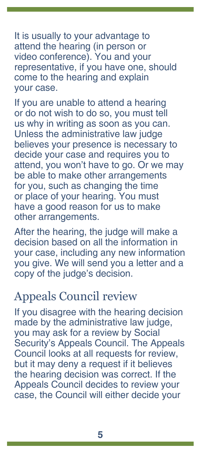It is usually to your advantage to attend the hearing (in person or video conference). You and your representative, if you have one, should come to the hearing and explain your case.

If you are unable to attend a hearing or do not wish to do so, you must tell us why in writing as soon as you can. Unless the administrative law judge believes your presence is necessary to decide your case and requires you to attend, you won't have to go. Or we may be able to make other arrangements for you, such as changing the time or place of your hearing. You must have a good reason for us to make other arrangements.

After the hearing, the judge will make a decision based on all the information in your case, including any new information you give. We will send you a letter and a copy of the judge's decision.

#### Appeals Council review

If you disagree with the hearing decision made by the administrative law judge, you may ask for a review by Social Security's Appeals Council. The Appeals Council looks at all requests for review, but it may deny a request if it believes the hearing decision was correct. If the Appeals Council decides to review your case, the Council will either decide your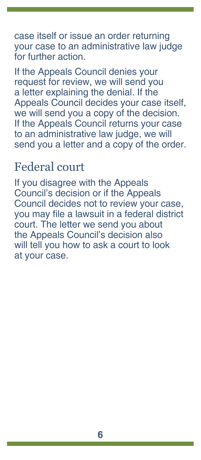case itself or issue an order returning your case to an administrative law judge for further action.

If the Appeals Council denies your request for review, we will send you a letter explaining the denial. If the Appeals Council decides your case itself, we will send you a copy of the decision. If the Appeals Council returns your case to an administrative law judge, we will send you a letter and a copy of the order.

## Federal court

If you disagree with the Appeals Council's decision or if the Appeals Council decides not to review your case, you may file a lawsuit in a federal district court. The letter we send you about the Appeals Council's decision also will tell you how to ask a court to look at your case.